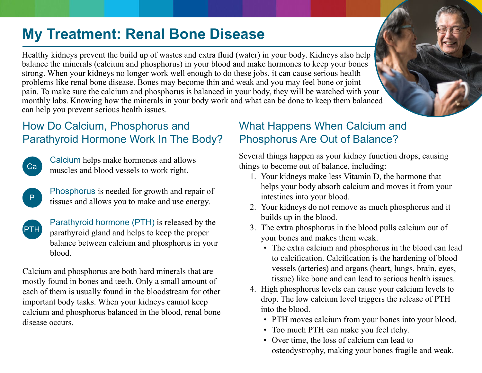# **My Treatment: Renal Bone Disease**

Healthy kidneys prevent the build up of wastes and extra fluid (water) in your body. Kidneys also help balance the minerals (calcium and phosphorus) in your blood and make hormones to keep your bones strong. When your kidneys no longer work well enough to do these jobs, it can cause serious health problems like renal bone disease. Bones may become thin and weak and you may feel bone or joint pain. To make sure the calcium and phosphorus is balanced in your body, they will be watched with your monthly labs. Knowing how the minerals in your body work and what can be done to keep them balanced can help you prevent serious health issues.

### How Do Calcium, Phosphorus and Parathyroid Hormone Work In The Body?

Calcium helps make hormones and allows muscles and blood vessels to work right.

Ca

P

Phosphorus is needed for growth and repair of tissues and allows you to make and use energy.

Parathyroid hormone (PTH) is released by the parathyroid gland and helps to keep the proper balance between calcium and phosphorus in your blood. PTH

Calcium and phosphorus are both hard minerals that are mostly found in bones and teeth. Only a small amount of each of them is usually found in the bloodstream for other important body tasks. When your kidneys cannot keep calcium and phosphorus balanced in the blood, renal bone disease occurs.

### What Happens When Calcium and Phosphorus Are Out of Balance?

Several things happen as your kidney function drops, causing things to become out of balance, including:

- 1. Your kidneys make less Vitamin D, the hormone that helps your body absorb calcium and moves it from your intestines into your blood.
- 2. Your kidneys do not remove as much phosphorus and it builds up in the blood.
- 3. The extra phosphorus in the blood pulls calcium out of your bones and makes them weak.
	- The extra calcium and phosphorus in the blood can lead to calcification. Calcification is the hardening of blood vessels (arteries) and organs (heart, lungs, brain, eyes, tissue) like bone and can lead to serious health issues.
- 4. High phosphorus levels can cause your calcium levels to drop. The low calcium level triggers the release of PTH into the blood.
	- PTH moves calcium from your bones into your blood.
	- Too much PTH can make you feel itchy.
	- Over time, the loss of calcium can lead to osteodystrophy, making your bones fragile and weak.